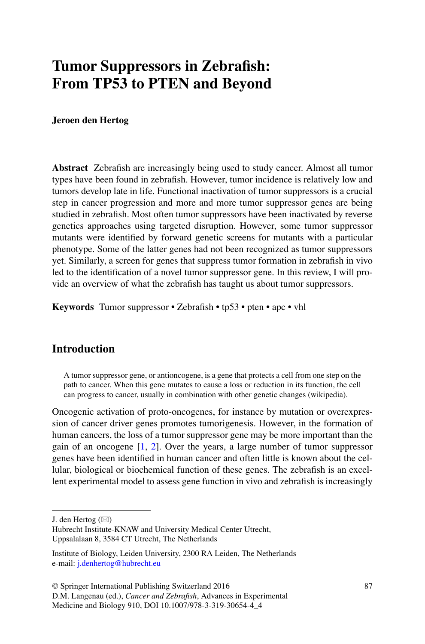# **Tumor Suppressors in Zebrafish: From TP53 to PTEN and Beyond**

### **Jeroen den Hertog**

**Abstract** Zebrafish are increasingly being used to study cancer. Almost all tumor types have been found in zebrafish. However, tumor incidence is relatively low and tumors develop late in life. Functional inactivation of tumor suppressors is a crucial step in cancer progression and more and more tumor suppressor genes are being studied in zebrafish. Most often tumor suppressors have been inactivated by reverse genetics approaches using targeted disruption. However, some tumor suppressor mutants were identified by forward genetic screens for mutants with a particular phenotype. Some of the latter genes had not been recognized as tumor suppressors yet. Similarly, a screen for genes that suppress tumor formation in zebrafish in vivo led to the identification of a novel tumor suppressor gene. In this review, I will provide an overview of what the zebrafish has taught us about tumor suppressors.

**Keywords** Tumor suppressor • Zebrafish • tp53 • pten • apc • vhl

# **Introduction**

 A tumor suppressor gene, or antioncogene, is a gene that protects a cell from one step on the path to cancer. When this gene mutates to cause a loss or reduction in its function, the cell can progress to cancer, usually in combination with other genetic changes (wikipedia).

 Oncogenic activation of proto-oncogenes, for instance by mutation or overexpression of cancer driver genes promotes tumorigenesis. However, in the formation of human cancers, the loss of a tumor suppressor gene may be more important than the gain of an oncogene  $[1, 2]$  $[1, 2]$  $[1, 2]$ . Over the years, a large number of tumor suppressor genes have been identified in human cancer and often little is known about the cellular, biological or biochemical function of these genes. The zebrafish is an excellent experimental model to assess gene function in vivo and zebrafish is increasingly

J. den Hertog  $(\boxtimes)$ 

D.M. Langenau (ed.), *Cancer and Zebrafish*, Advances in Experimental Medicine and Biology 910, DOI 10.1007/978-3-319-30654-4\_4

Hubrecht Institute-KNAW and University Medical Center Utrecht, Uppsalalaan 8, 3584 CT Utrecht, The Netherlands

Institute of Biology, Leiden University, 2300 RA Leiden, The Netherlands e-mail: [j.denhertog@hubrecht.eu](mailto:j.denhertog@hubrecht.eu)

<sup>©</sup> Springer International Publishing Switzerland 2016 87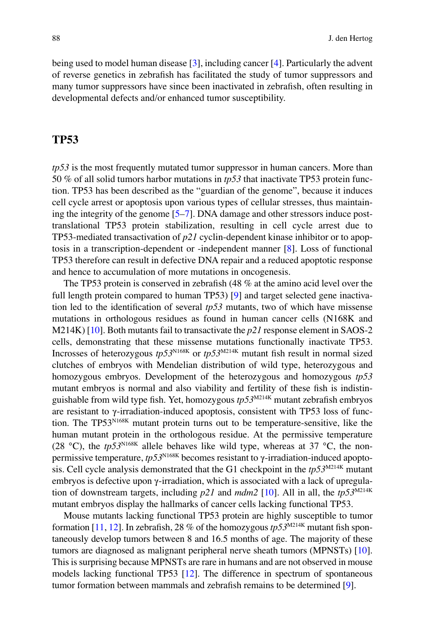being used to model human disease [3], including cancer [4]. Particularly the advent of reverse genetics in zebrafish has facilitated the study of tumor suppressors and many tumor suppressors have since been inactivated in zebrafish, often resulting in developmental defects and/or enhanced tumor susceptibility.

### **TP53**

*tp53* is the most frequently mutated tumor suppressor in human cancers. More than 50 % of all solid tumors harbor mutations in *tp53* that inactivate TP53 protein function. TP53 has been described as the "guardian of the genome", because it induces cell cycle arrest or apoptosis upon various types of cellular stresses, thus maintaining the integrity of the genome  $[5-7]$ . DNA damage and other stressors induce posttranslational TP53 protein stabilization, resulting in cell cycle arrest due to TP53-mediated transactivation of *p21* cyclin-dependent kinase inhibitor or to apoptosis in a transcription-dependent or -independent manner  $[8]$ . Loss of functional TP53 therefore can result in defective DNA repair and a reduced apoptotic response and hence to accumulation of more mutations in oncogenesis.

The TP53 protein is conserved in zebrafish  $(48\%$  at the amino acid level over the full length protein compared to human TP53) [9] and target selected gene inactivation led to the identification of several  $tp53$  mutants, two of which have missense mutations in orthologous residues as found in human cancer cells (N168K and M214K) [10]. Both mutants fail to transactivate the  $p21$  response element in SAOS-2 cells, demonstrating that these missense mutations functionally inactivate TP53. Incrosses of heterozygous  $tp53^{N168K}$  or  $tp53^{M214K}$  mutant fish result in normal sized clutches of embryos with Mendelian distribution of wild type, heterozygous and homozygous embryos. Development of the heterozygous and homozygous *tp53* mutant embryos is normal and also viability and fertility of these fish is indistinguishable from wild type fish. Yet, homozygous  $tp53^{M214K}$  mutant zebrafish embryos are resistant to γ-irradiation-induced apoptosis, consistent with TP53 loss of function. The TP53N168K mutant protein turns out to be temperature-sensitive, like the human mutant protein in the orthologous residue. At the permissive temperature (28 °C), the  $tp53^{N168K}$  allele behaves like wild type, whereas at 37 °C, the nonpermissive temperature, *tp53*N168K becomes resistant to γ-irradiation-induced apoptosis. Cell cycle analysis demonstrated that the G1 checkpoint in the *tp53*M214K mutant embryos is defective upon γ-irradiation, which is associated with a lack of upregulation of downstream targets, including  $p21$  and  $mdm2$  [10]. All in all, the  $tp53^{M214K}$ mutant embryos display the hallmarks of cancer cells lacking functional TP53.

 Mouse mutants lacking functional TP53 protein are highly susceptible to tumor formation [11, 12]. In zebrafish, 28 % of the homozygous  $tp53^{M214K}$  mutant fish spontaneously develop tumors between 8 and 16.5 months of age. The majority of these tumors are diagnosed as malignant peripheral nerve sheath tumors (MPNSTs) [10]. This is surprising because MPNSTs are rare in humans and are not observed in mouse models lacking functional TP53  $[12]$ . The difference in spectrum of spontaneous tumor formation between mammals and zebrafish remains to be determined [9].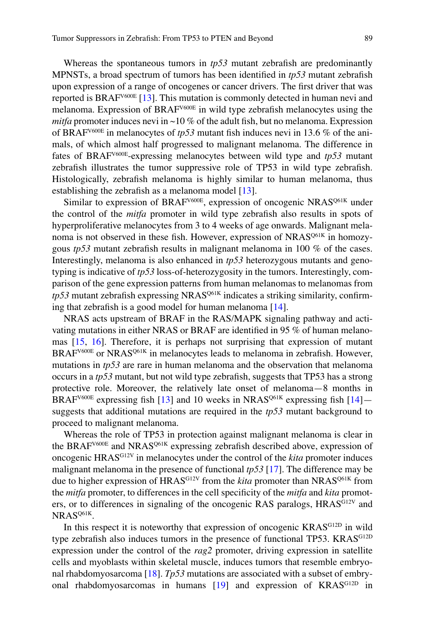Whereas the spontaneous tumors in  $tp53$  mutant zebrafish are predominantly MPNSTs, a broad spectrum of tumors has been identified in  $tp53$  mutant zebrafish upon expression of a range of oncogenes or cancer drivers. The first driver that was reported is BRAF<sup>V600E</sup> [13]. This mutation is commonly detected in human nevi and melanoma. Expression of BRAF $V^{600E}$  in wild type zebrafish melanocytes using the *mitfa* promoter induces nevi in  $\sim$  10 % of the adult fish, but no melanoma. Expression of BRAF<sup>V600E</sup> in melanocytes of  $tp53$  mutant fish induces nevi in 13.6 % of the animals, of which almost half progressed to malignant melanoma. The difference in fates of BRAF<sup>V600E</sup>-expressing melanocytes between wild type and  $tp53$  mutant zebrafish illustrates the tumor suppressive role of TP53 in wild type zebrafish. Histologically, zebrafish melanoma is highly similar to human melanoma, thus establishing the zebrafish as a melanoma model  $[13]$ .

Similar to expression of BRAF<sup>V600E</sup>, expression of oncogenic NRAS<sup>Q61K</sup> under the control of the *mitfa* promoter in wild type zebrafish also results in spots of hyperproliferative melanocytes from 3 to 4 weeks of age onwards. Malignant melanoma is not observed in these fish. However, expression of NRAS<sup>Q61K</sup> in homozygous  $tp53$  mutant zebrafish results in malignant melanoma in 100  $%$  of the cases. Interestingly, melanoma is also enhanced in *tp53* heterozygous mutants and genotyping is indicative of *tp53* loss-of-heterozygosity in the tumors. Interestingly, comparison of the gene expression patterns from human melanomas to melanomas from  $tp53$  mutant zebrafish expressing NRAS<sup>Q61K</sup> indicates a striking similarity, confirming that zebrafish is a good model for human melanoma  $[14]$ .

 NRAS acts upstream of BRAF in the RAS/MAPK signaling pathway and activating mutations in either NRAS or BRAF are identified in 95  $\%$  of human melanomas  $[15, 16]$  $[15, 16]$  $[15, 16]$ . Therefore, it is perhaps not surprising that expression of mutant BRAF $V^{600E}$  or NRAS $Q^{61K}$  in melanocytes leads to melanoma in zebrafish. However, mutations in *tp53* are rare in human melanoma and the observation that melanoma occurs in a *tp53* mutant, but not wild type zebrafish, suggests that TP53 has a strong protective role. Moreover, the relatively late onset of melanoma—8 months in BRAF $V^{600E}$  expressing fish [13] and 10 weeks in NRAS $Q^{61K}$  expressing fish [14] suggests that additional mutations are required in the *tp53* mutant background to proceed to malignant melanoma.

 Whereas the role of TP53 in protection against malignant melanoma is clear in the BRAF<sup>V600E</sup> and NRAS<sup>Q61K</sup> expressing zebrafish described above, expression of oncogenic HRAS G12V in melanocytes under the control of the *kita* promoter induces malignant melanoma in the presence of functional *tp53* [17]. The difference may be due to higher expression of HRAS<sup>G12V</sup> from the *kita* promoter than NRAS<sup>Q61K</sup> from the *mitfa* promoter, to differences in the cell specificity of the *mitfa* and *kita* promoters, or to differences in signaling of the oncogenic RAS paralogs, HRAS<sup>G12V</sup> and  $NRAS^{Q61K}$ .

In this respect it is noteworthy that expression of oncogenic KRAS G12D in wild type zebrafish also induces tumors in the presence of functional TP53. KRASG12D expression under the control of the *rag2* promoter, driving expression in satellite cells and myoblasts within skeletal muscle, induces tumors that resemble embryonal rhabdomyosarcoma [ [18 \]](#page-11-0). *Tp53* mutations are associated with a subset of embryonal rhabdomyosarcomas in humans  $[19]$  and expression of KRAS $G12D$  in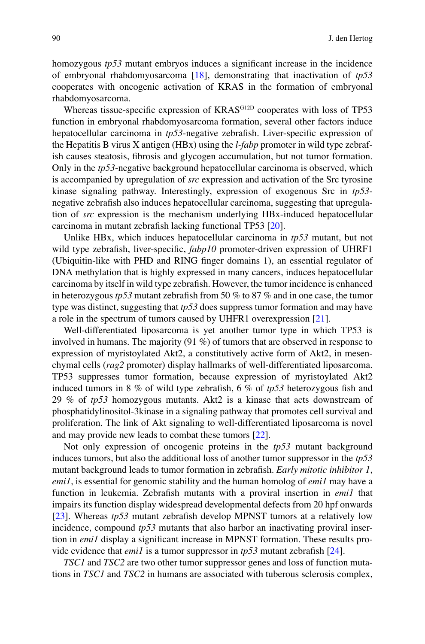homozygous *tp53* mutant embryos induces a significant increase in the incidence of embryonal rhabdomyosarcoma  $[18]$ , demonstrating that inactivation of  $tp53$ cooperates with oncogenic activation of KRAS in the formation of embryonal rhabdomyosarcoma.

Whereas tissue-specific expression of KRAS<sup>G12D</sup> cooperates with loss of TP53 function in embryonal rhabdomyosarcoma formation, several other factors induce hepatocellular carcinoma in *tp53*-negative zebrafish. Liver-specific expression of the Hepatitis B virus X antigen (HBx) using the *l-fabp* promoter in wild type zebrafish causes steatosis, fibrosis and glycogen accumulation, but not tumor formation. Only in the *tp53* -negative background hepatocellular carcinoma is observed, which is accompanied by upregulation of *src* expression and activation of the Src tyrosine kinase signaling pathway. Interestingly, expression of exogenous Src in *tp53* negative zebrafish also induces hepatocellular carcinoma, suggesting that upregulation of *src* expression is the mechanism underlying HBx-induced hepatocellular carcinoma in mutant zebrafish lacking functional TP53  $[20]$ .

 Unlike HBx, which induces hepatocellular carcinoma in *tp53* mutant, but not wild type zebrafish, liver-specific, *fabp10* promoter-driven expression of UHRF1 (Ubiquitin-like with PHD and RING finger domains 1), an essential regulator of DNA methylation that is highly expressed in many cancers, induces hepatocellular carcinoma by itself in wild type zebrafish. However, the tumor incidence is enhanced in heterozygous  $tp53$  mutant zebrafish from 50 % to 87 % and in one case, the tumor type was distinct, suggesting that *tp53* does suppress tumor formation and may have a role in the spectrum of tumors caused by UHFR1 overexpression [21].

 Well-differentiated liposarcoma is yet another tumor type in which TP53 is involved in humans. The majority (91 %) of tumors that are observed in response to expression of myristoylated Akt2, a constitutively active form of Akt2, in mesenchymal cells ( *rag2* promoter) display hallmarks of well-differentiated liposarcoma. TP53 suppresses tumor formation, because expression of myristoylated Akt2 induced tumors in 8 % of wild type zebrafish, 6 % of  $tp53$  heterozygous fish and 29 % of *tp53* homozygous mutants. Akt2 is a kinase that acts downstream of phosphatidylinositol- 3kinase in a signaling pathway that promotes cell survival and proliferation. The link of Akt signaling to well-differentiated liposarcoma is novel and may provide new leads to combat these tumors [22].

 Not only expression of oncogenic proteins in the *tp53* mutant background induces tumors, but also the additional loss of another tumor suppressor in the *tp53* mutant background leads to tumor formation in zebrafish. *Early mitotic inhibitor 1*, *emi1* , is essential for genomic stability and the human homolog of *emi1* may have a function in leukemia. Zebrafish mutants with a proviral insertion in *emil* that impairs its function display widespread developmental defects from 20 hpf onwards [ $23$ ]. Whereas *tp53* mutant zebrafish develop MPNST tumors at a relatively low incidence, compound *tp53* mutants that also harbor an inactivating proviral insertion in *emi1* display a significant increase in MPNST formation. These results provide evidence that *emi1* is a tumor suppressor in  $tp53$  mutant zebrafish [24].

*TSC1* and *TSC2* are two other tumor suppressor genes and loss of function mutations in *TSC1* and *TSC2* in humans are associated with tuberous sclerosis complex,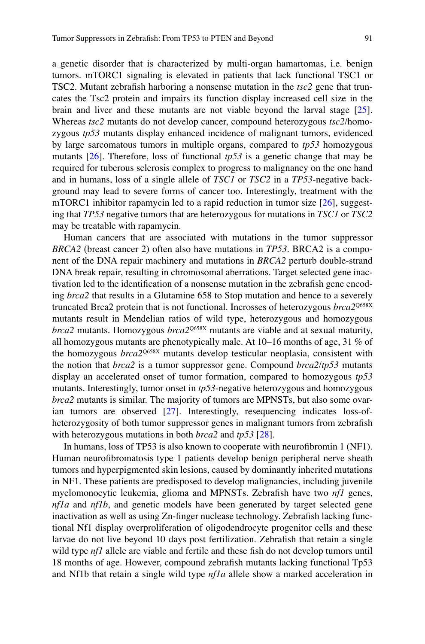a genetic disorder that is characterized by multi-organ hamartomas, i.e. benign tumors. mTORC1 signaling is elevated in patients that lack functional TSC1 or TSC2. Mutant zebrafish harboring a nonsense mutation in the *tsc2* gene that truncates the Tsc2 protein and impairs its function display increased cell size in the brain and liver and these mutants are not viable beyond the larval stage  $[25]$ . Whereas *tsc2* mutants do not develop cancer, compound heterozygous *tsc2*/homozygous *tp53* mutants display enhanced incidence of malignant tumors, evidenced by large sarcomatous tumors in multiple organs, compared to *tp53* homozygous mutants  $[26]$ . Therefore, loss of functional  $tp53$  is a genetic change that may be required for tuberous sclerosis complex to progress to malignancy on the one hand and in humans, loss of a single allele of *TSC1* or *TSC2* in a *TP53* -negative background may lead to severe forms of cancer too. Interestingly, treatment with the mTORC1 inhibitor rapamycin led to a rapid reduction in tumor size  $[26]$ , suggesting that *TP53* negative tumors that are heterozygous for mutations in *TSC1* or *TSC2* may be treatable with rapamycin.

 Human cancers that are associated with mutations in the tumor suppressor *BRCA2* (breast cancer 2) often also have mutations in *TP53* . BRCA2 is a component of the DNA repair machinery and mutations in *BRCA2* perturb double-strand DNA break repair, resulting in chromosomal aberrations. Target selected gene inactivation led to the identification of a nonsense mutation in the zebrafish gene encoding *brca2* that results in a Glutamine 658 to Stop mutation and hence to a severely truncated Brca2 protein that is not functional. Incrosses of heterozygous *brca*2<sup>Q658X</sup> mutants result in Mendelian ratios of wild type, heterozygous and homozygous *brca2* mutants. Homozygous *brca2*<sup>Q658X</sup> mutants are viable and at sexual maturity, all homozygous mutants are phenotypically male. At  $10-16$  months of age,  $31\%$  of the homozygous *brca*2<sup>Q658X</sup> mutants develop testicular neoplasia, consistent with the notion that *brca2* is a tumor suppressor gene. Compound *brca2/tp53* mutants display an accelerated onset of tumor formation, compared to homozygous *tp53* mutants. Interestingly, tumor onset in *tp53* -negative heterozygous and homozygous *brca2* mutants is similar. The majority of tumors are MPNSTs, but also some ovarian tumors are observed  $[27]$ . Interestingly, resequencing indicates loss-ofheterozygosity of both tumor suppressor genes in malignant tumors from zebrafish with heterozygous mutations in both *brca2* and *tp53* [28].

In humans, loss of TP53 is also known to cooperate with neurofibromin 1 (NF1). Human neurofibromatosis type 1 patients develop benign peripheral nerve sheath tumors and hyperpigmented skin lesions, caused by dominantly inherited mutations in NF1. These patients are predisposed to develop malignancies, including juvenile myelomonocytic leukemia, glioma and MPNSTs. Zebrafish have two *nf1* genes, *nf1a* and *nf1b*, and genetic models have been generated by target selected gene inactivation as well as using  $Zn$ -finger nuclease technology. Zebrafish lacking functional Nf1 display overproliferation of oligodendrocyte progenitor cells and these larvae do not live beyond 10 days post fertilization. Zebrafish that retain a single wild type *nf1* allele are viable and fertile and these fish do not develop tumors until 18 months of age. However, compound zebrafish mutants lacking functional Tp53 and Nf1b that retain a single wild type *nf1a* allele show a marked acceleration in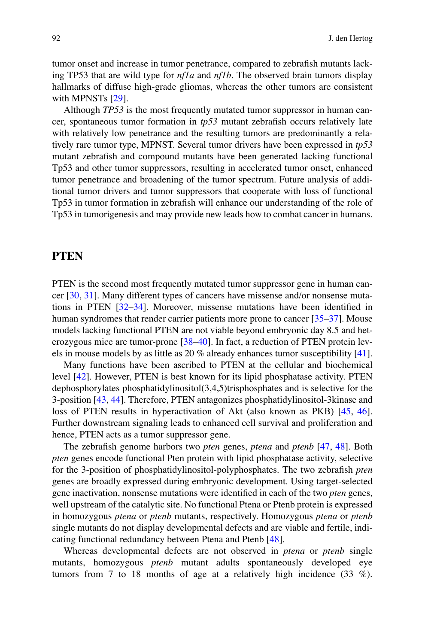tumor onset and increase in tumor penetrance, compared to zebrafish mutants lacking TP53 that are wild type for *nf1a* and *nf1b* . The observed brain tumors display hallmarks of diffuse high-grade gliomas, whereas the other tumors are consistent with MPNSTs [29].

 Although *TP53* is the most frequently mutated tumor suppressor in human cancer, spontaneous tumor formation in  $tp53$  mutant zebrafish occurs relatively late with relatively low penetrance and the resulting tumors are predominantly a relatively rare tumor type, MPNST. Several tumor drivers have been expressed in *tp53* mutant zebrafish and compound mutants have been generated lacking functional Tp53 and other tumor suppressors, resulting in accelerated tumor onset, enhanced tumor penetrance and broadening of the tumor spectrum. Future analysis of additional tumor drivers and tumor suppressors that cooperate with loss of functional Tp53 in tumor formation in zebrafish will enhance our understanding of the role of Tp53 in tumorigenesis and may provide new leads how to combat cancer in humans.

## **PTEN**

 PTEN is the second most frequently mutated tumor suppressor gene in human can-cer [30, [31](#page-12-0)]. Many different types of cancers have missense and/or nonsense mutations in PTEN  $[32-34]$ . Moreover, missense mutations have been identified in human syndromes that render carrier patients more prone to cancer [35–37]. Mouse models lacking functional PTEN are not viable beyond embryonic day 8.5 and heterozygous mice are tumor-prone  $[38–40]$ . In fact, a reduction of PTEN protein levels in mouse models by as little as  $20\%$  already enhances tumor susceptibility [41].

 Many functions have been ascribed to PTEN at the cellular and biochemical level [42]. However, PTEN is best known for its lipid phosphatase activity. PTEN dephosphorylates phosphatidylinositol(3,4,5)trisphosphates and is selective for the 3-position [ [43 ,](#page-13-0) [44 \]](#page-13-0). Therefore, PTEN antagonizes phosphatidylinositol-3kinase and loss of PTEN results in hyperactivation of Akt (also known as PKB) [45, 46]. Further downstream signaling leads to enhanced cell survival and proliferation and hence, PTEN acts as a tumor suppressor gene.

The zebrafish genome harbors two *pten* genes, *ptena* and *ptenb* [47, 48]. Both *pten* genes encode functional Pten protein with lipid phosphatase activity, selective for the 3-position of phosphatidylinositol-polyphosphates. The two zebrafish *pten* genes are broadly expressed during embryonic development. Using target-selected gene inactivation, nonsense mutations were identified in each of the two *pten* genes, well upstream of the catalytic site. No functional Ptena or Ptenb protein is expressed in homozygous *ptena* or *ptenb* mutants, respectively. Homozygous *ptena* or *ptenb* single mutants do not display developmental defects and are viable and fertile, indicating functional redundancy between Ptena and Ptenb [48].

 Whereas developmental defects are not observed in *ptena* or *ptenb* single mutants, homozygous *ptenb* mutant adults spontaneously developed eye tumors from 7 to 18 months of age at a relatively high incidence (33 %).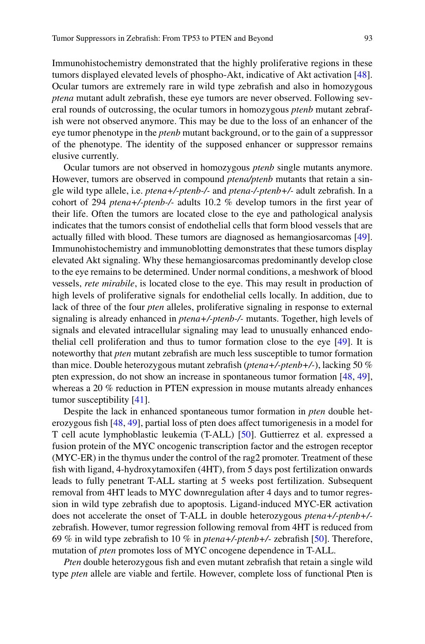Immunohistochemistry demonstrated that the highly proliferative regions in these tumors displayed elevated levels of phospho-Akt, indicative of Akt activation [48]. Ocular tumors are extremely rare in wild type zebrafish and also in homozygous *ptena* mutant adult zebrafish, these eye tumors are never observed. Following several rounds of outcrossing, the ocular tumors in homozygous *ptenb* mutant zebrafish were not observed anymore. This may be due to the loss of an enhancer of the eye tumor phenotype in the *ptenb* mutant background, or to the gain of a suppressor of the phenotype. The identity of the supposed enhancer or suppressor remains elusive currently.

 Ocular tumors are not observed in homozygous *ptenb* single mutants anymore. However, tumors are observed in compound *ptena/ptenb* mutants that retain a single wild type allele, i.e. *ptena+/-ptenb-/-* and *ptena-/-ptenb+/-* adult zebrafish. In a cohort of 294 *ptena+/-ptenb-/-* adults 10.2 % develop tumors in the first year of their life. Often the tumors are located close to the eye and pathological analysis indicates that the tumors consist of endothelial cells that form blood vessels that are actually filled with blood. These tumors are diagnosed as hemangiosarcomas [49]. Immunohistochemistry and immunoblotting demonstrates that these tumors display elevated Akt signaling. Why these hemangiosarcomas predominantly develop close to the eye remains to be determined. Under normal conditions, a meshwork of blood vessels, *rete mirabile* , is located close to the eye. This may result in production of high levels of proliferative signals for endothelial cells locally. In addition, due to lack of three of the four *pten* alleles, proliferative signaling in response to external signaling is already enhanced in *ptena+/-ptenb-/-* mutants. Together, high levels of signals and elevated intracellular signaling may lead to unusually enhanced endothe lial cell proliferation and thus to tumor formation close to the eye  $[49]$ . It is noteworthy that *pten* mutant zebrafish are much less susceptible to tumor formation than mice. Double heterozygous mutant zebrafish (*ptena+/-ptenb+/-*), lacking 50 % pten expression, do not show an increase in spontaneous tumor formation [ [48 ,](#page-13-0) [49 \]](#page-13-0), whereas a 20 % reduction in PTEN expression in mouse mutants already enhances tumor susceptibility  $[41]$ .

 Despite the lack in enhanced spontaneous tumor formation in *pten* double het-erozygous fish [48, [49](#page-13-0)], partial loss of pten does affect tumorigenesis in a model for T cell acute lymphoblastic leukemia (T-ALL) [50]. Guttierrez et al. expressed a fusion protein of the MYC oncogenic transcription factor and the estrogen receptor (MYC-ER) in the thymus under the control of the rag2 promoter. Treatment of these fish with ligand, 4-hydroxytamoxifen (4HT), from 5 days post fertilization onwards leads to fully penetrant T-ALL starting at 5 weeks post fertilization. Subsequent removal from 4HT leads to MYC downregulation after 4 days and to tumor regression in wild type zebrafish due to apoptosis. Ligand-induced MYC-ER activation does not accelerate the onset of T-ALL in double heterozygous *ptena+/-ptenb+/* zebrafish. However, tumor regression following removal from 4HT is reduced from 69 % in wild type zebrafish to 10 % in *ptena+/-ptenb+/-* zebrafish [50]. Therefore, mutation of *pten* promotes loss of MYC oncogene dependence in T-ALL.

*Pten* double heterozygous fish and even mutant zebrafish that retain a single wild type *pten* allele are viable and fertile. However, complete loss of functional Pten is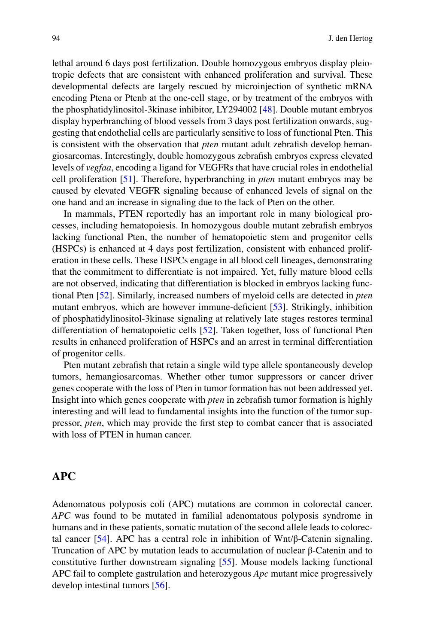lethal around 6 days post fertilization. Double homozygous embryos display pleiotropic defects that are consistent with enhanced proliferation and survival. These developmental defects are largely rescued by microinjection of synthetic mRNA encoding Ptena or Ptenb at the one-cell stage, or by treatment of the embryos with the phosphatidylinositol-3kinase inhibitor, LY294002 [48]. Double mutant embryos display hyperbranching of blood vessels from 3 days post fertilization onwards, suggesting that endothelial cells are particularly sensitive to loss of functional Pten. This is consistent with the observation that *pten* mutant adult zebrafish develop hemangiosarcomas. Interestingly, double homozygous zebrafish embryos express elevated levels of *vegfaa* , encoding a ligand for VEGFRs that have crucial roles in endothelial cell proliferation [\[ 51](#page-13-0) ]. Therefore, hyperbranching in *pten* mutant embryos may be caused by elevated VEGFR signaling because of enhanced levels of signal on the one hand and an increase in signaling due to the lack of Pten on the other.

 In mammals, PTEN reportedly has an important role in many biological processes, including hematopoiesis. In homozygous double mutant zebrafish embryos lacking functional Pten, the number of hematopoietic stem and progenitor cells (HSPCs) is enhanced at 4 days post fertilization, consistent with enhanced proliferation in these cells. These HSPCs engage in all blood cell lineages, demonstrating that the commitment to differentiate is not impaired. Yet, fully mature blood cells are not observed, indicating that differentiation is blocked in embryos lacking functional Pten [ [52 \]](#page-13-0). Similarly, increased numbers of myeloid cells are detected in *pten* mutant embryos, which are however immune-deficient [53]. Strikingly, inhibition of phosphatidylinositol-3kinase signaling at relatively late stages restores terminal differentiation of hematopoietic cells [52]. Taken together, loss of functional Pten results in enhanced proliferation of HSPCs and an arrest in terminal differentiation of progenitor cells.

Pten mutant zebrafish that retain a single wild type allele spontaneously develop tumors, hemangiosarcomas. Whether other tumor suppressors or cancer driver genes cooperate with the loss of Pten in tumor formation has not been addressed yet. Insight into which genes cooperate with *pten* in zebrafish tumor formation is highly interesting and will lead to fundamental insights into the function of the tumor suppressor, *pten*, which may provide the first step to combat cancer that is associated with loss of PTEN in human cancer.

# **APC**

 Adenomatous polyposis coli (APC) mutations are common in colorectal cancer. *APC* was found to be mutated in familial adenomatous polyposis syndrome in humans and in these patients, somatic mutation of the second allele leads to colorectal cancer [54]. APC has a central role in inhibition of Wnt/ $\beta$ -Catenin signaling. Truncation of APC by mutation leads to accumulation of nuclear β-Catenin and to constitutive further downstream signaling [55]. Mouse models lacking functional APC fail to complete gastrulation and heterozygous *Apc* mutant mice progressively develop intestinal tumors [56].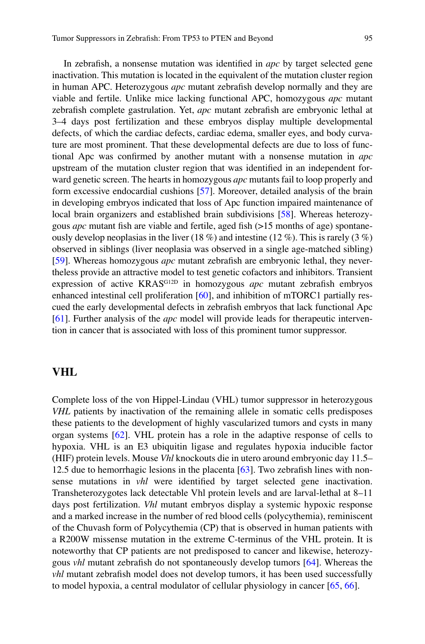In zebrafish, a nonsense mutation was identified in *apc* by target selected gene inactivation. This mutation is located in the equivalent of the mutation cluster region in human APC. Heterozygous *apc* mutant zebrafish develop normally and they are viable and fertile. Unlike mice lacking functional APC, homozygous *apc* mutant zebrafish complete gastrulation. Yet, *apc* mutant zebrafish are embryonic lethal at 3–4 days post fertilization and these embryos display multiple developmental defects, of which the cardiac defects, cardiac edema, smaller eyes, and body curvature are most prominent. That these developmental defects are due to loss of functional Apc was confirmed by another mutant with a nonsense mutation in *apc* upstream of the mutation cluster region that was identified in an independent forward genetic screen. The hearts in homozygous *apc* mutants fail to loop properly and form excessive endocardial cushions [57]. Moreover, detailed analysis of the brain in developing embryos indicated that loss of Apc function impaired maintenance of local brain organizers and established brain subdivisions [58]. Whereas heterozygous *apc* mutant fish are viable and fertile, aged fish (>15 months of age) spontaneously develop neoplasias in the liver (18 %) and intestine (12 %). This is rarely (3 %) observed in siblings (liver neoplasia was observed in a single age- matched sibling) [59]. Whereas homozygous *apc* mutant zebrafish are embryonic lethal, they nevertheless provide an attractive model to test genetic cofactors and inhibitors. Transient expression of active KRAS<sup>G12D</sup> in homozygous *apc* mutant zebrafish embryos enhanced intestinal cell proliferation  $[60]$ , and inhibition of mTORC1 partially rescued the early developmental defects in zebrafish embryos that lack functional Apc [\[ 61](#page-13-0) ]. Further analysis of the *apc* model will provide leads for therapeutic intervention in cancer that is associated with loss of this prominent tumor suppressor.

## **VHL**

 Complete loss of the von Hippel-Lindau (VHL) tumor suppressor in heterozygous *VHL* patients by inactivation of the remaining allele in somatic cells predisposes these patients to the development of highly vascularized tumors and cysts in many organ systems  $[62]$ . VHL protein has a role in the adaptive response of cells to hypoxia. VHL is an E3 ubiquitin ligase and regulates hypoxia inducible factor (HIF) protein levels. Mouse *Vhl* knockouts die in utero around embryonic day 11.5– 12.5 due to hemorrhagic lesions in the placenta  $[63]$ . Two zebrafish lines with nonsense mutations in *vhl* were identified by target selected gene inactivation. Transheterozygotes lack detectable Vhl protein levels and are larval-lethal at 8–11 days post fertilization. *Vhl* mutant embryos display a systemic hypoxic response and a marked increase in the number of red blood cells (polycythemia), reminiscent of the Chuvash form of Polycythemia (CP) that is observed in human patients with a R200W missense mutation in the extreme C-terminus of the VHL protein. It is noteworthy that CP patients are not predisposed to cancer and likewise, heterozygous *vhl* mutant zebrafish do not spontaneously develop tumors [64]. Whereas the *vhl* mutant zebrafish model does not develop tumors, it has been used successfully to model hypoxia, a central modulator of cellular physiology in cancer  $[65, 66]$  $[65, 66]$  $[65, 66]$ .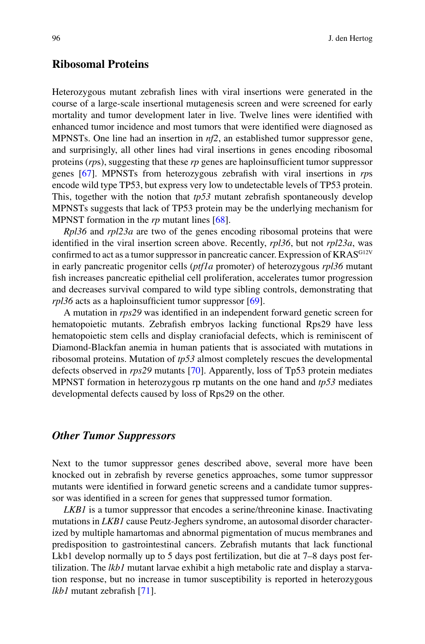# **Ribosomal Proteins**

Heterozygous mutant zebrafish lines with viral insertions were generated in the course of a large-scale insertional mutagenesis screen and were screened for early mortality and tumor development later in live. Twelve lines were identified with enhanced tumor incidence and most tumors that were identified were diagnosed as MPNSTs. One line had an insertion in *nf2* , an established tumor suppressor gene, and surprisingly, all other lines had viral insertions in genes encoding ribosomal proteins (*rps*), suggesting that these *rp* genes are haploinsufficient tumor suppressor genes [67]. MPNSTs from heterozygous zebrafish with viral insertions in *rps* encode wild type TP53, but express very low to undetectable levels of TP53 protein. This, together with the notion that  $tp53$  mutant zebrafish spontaneously develop MPNSTs suggests that lack of TP53 protein may be the underlying mechanism for MPNST formation in the *rp* mutant lines [68].

*Rpl36* and *rpl23a* are two of the genes encoding ribosomal proteins that were identified in the viral insertion screen above. Recently,  $rpl36$ , but not  $rpl23a$ , was confirmed to act as a tumor suppressor in pancreatic cancer. Expression of KRASG12V in early pancreatic progenitor cells ( *ptf1a* promoter) of heterozygous *rpl36* mutant fish increases pancreatic epithelial cell proliferation, accelerates tumor progression and decreases survival compared to wild type sibling controls, demonstrating that *rpl36* acts as a haploinsufficient tumor suppressor [69].

A mutation in  $rps29$  was identified in an independent forward genetic screen for hematopoietic mutants. Zebrafish embryos lacking functional Rps29 have less hematopoietic stem cells and display craniofacial defects, which is reminiscent of Diamond-Blackfan anemia in human patients that is associated with mutations in ribosomal proteins. Mutation of *tp53* almost completely rescues the developmental defects observed in *rps29* mutants [70]. Apparently, loss of Tp53 protein mediates MPNST formation in heterozygous rp mutants on the one hand and *tp53* mediates developmental defects caused by loss of Rps29 on the other.

#### *Other Tumor Suppressors*

 Next to the tumor suppressor genes described above, several more have been knocked out in zebrafish by reverse genetics approaches, some tumor suppressor mutants were identified in forward genetic screens and a candidate tumor suppressor was identified in a screen for genes that suppressed tumor formation.

*LKB1* is a tumor suppressor that encodes a serine/threonine kinase. Inactivating mutations in *LKB1* cause Peutz-Jeghers syndrome, an autosomal disorder characterized by multiple hamartomas and abnormal pigmentation of mucus membranes and predisposition to gastrointestinal cancers. Zebrafish mutants that lack functional Lkb1 develop normally up to 5 days post fertilization, but die at 7–8 days post fertilization. The *lkb1* mutant larvae exhibit a high metabolic rate and display a starvation response, but no increase in tumor susceptibility is reported in heterozygous *lkb1* mutant zebrafish  $[71]$ .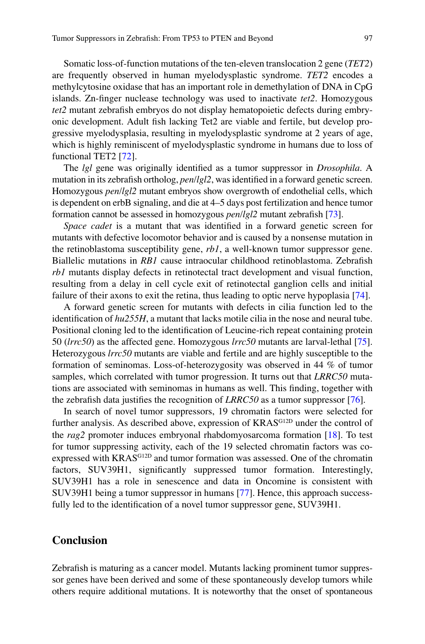Somatic loss-of-function mutations of the ten-eleven translocation 2 gene (*TET2*) are frequently observed in human myelodysplastic syndrome. *TET2* encodes a methylcytosine oxidase that has an important role in demethylation of DNA in CpG islands. Zn-finger nuclease technology was used to inactivate *tet2*. Homozygous *tet2* mutant zebrafish embryos do not display hematopoietic defects during embryonic development. Adult fish lacking Tet2 are viable and fertile, but develop progressive myelodysplasia, resulting in myelodysplastic syndrome at 2 years of age, which is highly reminiscent of myelodysplastic syndrome in humans due to loss of functional TET2 [72].

The *lgl* gene was originally identified as a tumor suppressor in *Drosophila*. A mutation in its zebrafish ortholog, *pen*/lgl2, was identified in a forward genetic screen. Homozygous *pen*/*lgl2* mutant embryos show overgrowth of endothelial cells, which is dependent on erbB signaling, and die at 4–5 days post fertilization and hence tumor formation cannot be assessed in homozygous *pen*/*lgl2* mutant zebrafish [73].

*Space cadet* is a mutant that was identified in a forward genetic screen for mutants with defective locomotor behavior and is caused by a nonsense mutation in the retinoblastoma susceptibility gene, *rb1* , a well-known tumor suppressor gene. Biallelic mutations in *RB1* cause intraocular childhood retinoblastoma. Zebrafish *rb1* mutants display defects in retinotectal tract development and visual function, resulting from a delay in cell cycle exit of retinotectal ganglion cells and initial failure of their axons to exit the retina, thus leading to optic nerve hypoplasia [74].

 A forward genetic screen for mutants with defects in cilia function led to the identification of  $hu255H$ , a mutant that lacks motile cilia in the nose and neural tube. Positional cloning led to the identification of Leucine-rich repeat containing protein 50 ( $\text{Irrc50}$ ) as the affected gene. Homozygous  $\text{Irrc50}$  mutants are larval-lethal [75]. Heterozygous *lrrc50* mutants are viable and fertile and are highly susceptible to the formation of seminomas. Loss-of-heterozygosity was observed in 44 % of tumor samples, which correlated with tumor progression. It turns out that *LRRC50* mutations are associated with seminomas in humans as well. This finding, together with the zebrafish data justifies the recognition of *LRRC50* as a tumor suppressor [76].

 In search of novel tumor suppressors, 19 chromatin factors were selected for further analysis. As described above, expression of KRAS<sup>G12D</sup> under the control of the *rag2* promoter induces embryonal rhabdomyosarcoma formation [18]. To test for tumor suppressing activity, each of the 19 selected chromatin factors was coexpressed with KRAS<sup>G12D</sup> and tumor formation was assessed. One of the chromatin factors, SUV39H1, significantly suppressed tumor formation. Interestingly, SUV39H1 has a role in senescence and data in Oncomine is consistent with SUV39H1 being a tumor suppressor in humans [77]. Hence, this approach successfully led to the identification of a novel tumor suppressor gene, SUV39H1.

## **Conclusion**

Zebrafish is maturing as a cancer model. Mutants lacking prominent tumor suppressor genes have been derived and some of these spontaneously develop tumors while others require additional mutations. It is noteworthy that the onset of spontaneous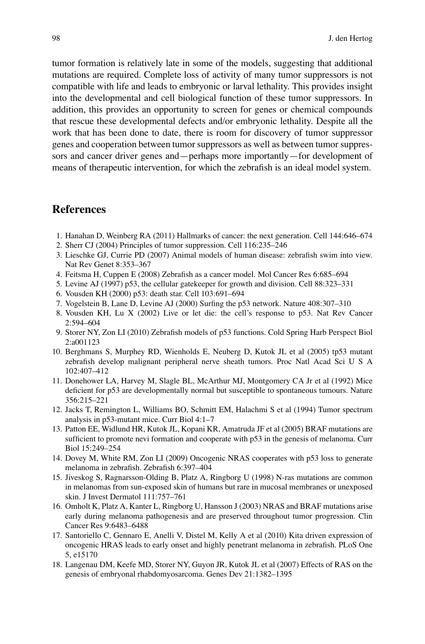<span id="page-11-0"></span>tumor formation is relatively late in some of the models, suggesting that additional mutations are required. Complete loss of activity of many tumor suppressors is not compatible with life and leads to embryonic or larval lethality. This provides insight into the developmental and cell biological function of these tumor suppressors. In addition, this provides an opportunity to screen for genes or chemical compounds that rescue these developmental defects and/or embryonic lethality. Despite all the work that has been done to date, there is room for discovery of tumor suppressor genes and cooperation between tumor suppressors as well as between tumor suppressors and cancer driver genes and—perhaps more importantly—for development of means of therapeutic intervention, for which the zebrafish is an ideal model system.

## **References**

- 1. Hanahan D, Weinberg RA (2011) Hallmarks of cancer: the next generation. Cell 144:646–674
- 2. Sherr CJ (2004) Principles of tumor suppression. Cell 116:235–246
- 3. Lieschke GJ, Currie PD (2007) Animal models of human disease: zebrafish swim into view. Nat Rev Genet 8:353–367
- 4. Feitsma H, Cuppen E (2008) Zebrafish as a cancer model. Mol Cancer Res 6:685–694
- 5. Levine AJ (1997) p53, the cellular gatekeeper for growth and division. Cell 88:323–331
- 6. Vousden KH (2000) p53: death star. Cell 103:691–694
- 7. Vogelstein B, Lane D, Levine AJ (2000) Surfing the p53 network. Nature 408:307-310
- 8. Vousden KH, Lu X (2002) Live or let die: the cell's response to p53. Nat Rev Cancer 2:594–604
- 9. Storer NY, Zon LI (2010) Zebrafish models of p53 functions. Cold Spring Harb Perspect Biol 2:a001123
- 10. Berghmans S, Murphey RD, Wienholds E, Neuberg D, Kutok JL et al (2005) tp53 mutant zebrafish develop malignant peripheral nerve sheath tumors. Proc Natl Acad Sci U S A 102:407–412
- 11. Donehower LA, Harvey M, Slagle BL, McArthur MJ, Montgomery CA Jr et al (1992) Mice deficient for p53 are developmentally normal but susceptible to spontaneous tumours. Nature 356:215–221
- 12. Jacks T, Remington L, Williams BO, Schmitt EM, Halachmi S et al (1994) Tumor spectrum analysis in p53-mutant mice. Curr Biol 4:1–7
- 13. Patton EE, Widlund HR, Kutok JL, Kopani KR, Amatruda JF et al (2005) BRAF mutations are sufficient to promote nevi formation and cooperate with p53 in the genesis of melanoma. Curr Biol 15:249–254
- 14. Dovey M, White RM, Zon LI (2009) Oncogenic NRAS cooperates with p53 loss to generate melanoma in zebrafish. Zebrafish 6:397-404
- 15. Jiveskog S, Ragnarsson-Olding B, Platz A, Ringborg U (1998) N-ras mutations are common in melanomas from sun-exposed skin of humans but rare in mucosal membranes or unexposed skin. J Invest Dermatol 111:757–761
- 16. Omholt K, Platz A, Kanter L, Ringborg U, Hansson J (2003) NRAS and BRAF mutations arise early during melanoma pathogenesis and are preserved throughout tumor progression. Clin Cancer Res 9:6483–6488
- 17. Santoriello C, Gennaro E, Anelli V, Distel M, Kelly A et al (2010) Kita driven expression of oncogenic HRAS leads to early onset and highly penetrant melanoma in zebrafish. PLoS One 5, e15170
- 18. Langenau DM, Keefe MD, Storer NY, Guyon JR, Kutok JL et al (2007) Effects of RAS on the genesis of embryonal rhabdomyosarcoma. Genes Dev 21:1382–1395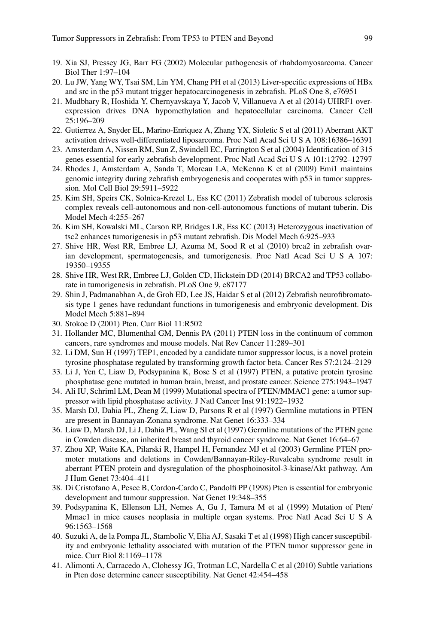- <span id="page-12-0"></span> 19. Xia SJ, Pressey JG, Barr FG (2002) Molecular pathogenesis of rhabdomyosarcoma. Cancer Biol Ther 1:97–104
- 20. Lu JW, Yang WY, Tsai SM, Lin YM, Chang PH et al (2013) Liver-specific expressions of HBx and src in the p53 mutant trigger hepatocarcinogenesis in zebrafish. PLoS One 8, e76951
- 21. Mudbhary R, Hoshida Y, Chernyavskaya Y, Jacob V, Villanueva A et al (2014) UHRF1 overexpression drives DNA hypomethylation and hepatocellular carcinoma. Cancer Cell 25:196–209
- 22. Gutierrez A, Snyder EL, Marino-Enriquez A, Zhang YX, Sioletic S et al (2011) Aberrant AKT activation drives well-differentiated liposarcoma. Proc Natl Acad Sci U S A 108:16386–16391
- 23. Amsterdam A, Nissen RM, Sun Z, Swindell EC, Farrington S et al (2004) Identification of 315 genes essential for early zebrafish development. Proc Natl Acad Sci U S A 101:12792-12797
- 24. Rhodes J, Amsterdam A, Sanda T, Moreau LA, McKenna K et al (2009) Emi1 maintains genomic integrity during zebrafish embryogenesis and cooperates with p53 in tumor suppression. Mol Cell Biol 29:5911–5922
- 25. Kim SH, Speirs CK, Solnica-Krezel L, Ess KC (2011) Zebrafish model of tuberous sclerosis complex reveals cell-autonomous and non-cell-autonomous functions of mutant tuberin. Dis Model Mech 4:255–267
- 26. Kim SH, Kowalski ML, Carson RP, Bridges LR, Ess KC (2013) Heterozygous inactivation of tsc2 enhances tumorigenesis in p53 mutant zebrafish. Dis Model Mech 6:925–933
- 27. Shive HR, West RR, Embree LJ, Azuma M, Sood R et al (2010) brca2 in zebrafish ovarian development, spermatogenesis, and tumorigenesis. Proc Natl Acad Sci U S A 107: 19350–19355
- 28. Shive HR, West RR, Embree LJ, Golden CD, Hickstein DD (2014) BRCA2 and TP53 collaborate in tumorigenesis in zebrafish. PLoS One 9, e87177
- 29. Shin J, Padmanabhan A, de Groh ED, Lee JS, Haidar S et al (2012) Zebrafish neurofibromatosis type 1 genes have redundant functions in tumorigenesis and embryonic development. Dis Model Mech 5:881–894
- 30. Stokoe D (2001) Pten. Curr Biol 11:R502
- 31. Hollander MC, Blumenthal GM, Dennis PA (2011) PTEN loss in the continuum of common cancers, rare syndromes and mouse models. Nat Rev Cancer 11:289–301
- 32. Li DM, Sun H (1997) TEP1, encoded by a candidate tumor suppressor locus, is a novel protein tyrosine phosphatase regulated by transforming growth factor beta. Cancer Res 57:2124–2129
- 33. Li J, Yen C, Liaw D, Podsypanina K, Bose S et al (1997) PTEN, a putative protein tyrosine phosphatase gene mutated in human brain, breast, and prostate cancer. Science 275:1943–1947
- 34. Ali IU, Schriml LM, Dean M (1999) Mutational spectra of PTEN/MMAC1 gene: a tumor suppressor with lipid phosphatase activity. J Natl Cancer Inst 91:1922–1932
- 35. Marsh DJ, Dahia PL, Zheng Z, Liaw D, Parsons R et al (1997) Germline mutations in PTEN are present in Bannayan-Zonana syndrome. Nat Genet 16:333–334
- 36. Liaw D, Marsh DJ, Li J, Dahia PL, Wang SI et al (1997) Germline mutations of the PTEN gene in Cowden disease, an inherited breast and thyroid cancer syndrome. Nat Genet 16:64–67
- 37. Zhou XP, Waite KA, Pilarski R, Hampel H, Fernandez MJ et al (2003) Germline PTEN promoter mutations and deletions in Cowden/Bannayan-Riley-Ruvalcaba syndrome result in aberrant PTEN protein and dysregulation of the phosphoinositol-3-kinase/Akt pathway. Am J Hum Genet 73:404–411
- 38. Di Cristofano A, Pesce B, Cordon-Cardo C, Pandolfi PP (1998) Pten is essential for embryonic development and tumour suppression. Nat Genet 19:348–355
- 39. Podsypanina K, Ellenson LH, Nemes A, Gu J, Tamura M et al (1999) Mutation of Pten/ Mmac1 in mice causes neoplasia in multiple organ systems. Proc Natl Acad Sci U S A 96:1563–1568
- 40. Suzuki A, de la Pompa JL, Stambolic V, Elia AJ, Sasaki T et al (1998) High cancer susceptibility and embryonic lethality associated with mutation of the PTEN tumor suppressor gene in mice. Curr Biol 8:1169–1178
- 41. Alimonti A, Carracedo A, Clohessy JG, Trotman LC, Nardella C et al (2010) Subtle variations in Pten dose determine cancer susceptibility. Nat Genet 42:454–458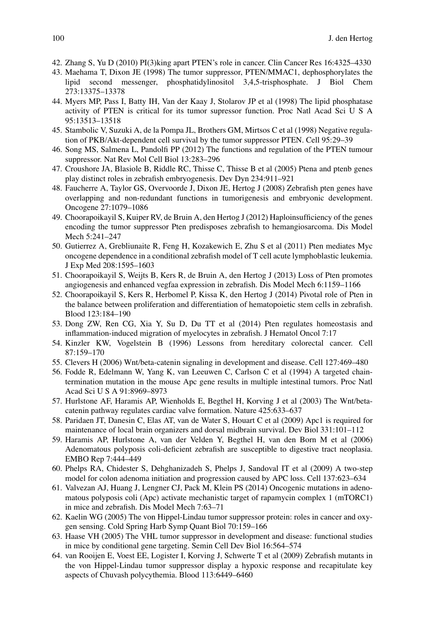- <span id="page-13-0"></span>42. Zhang S, Yu D (2010) PI(3)king apart PTEN's role in cancer. Clin Cancer Res 16:4325–4330
- 43. Maehama T, Dixon JE (1998) The tumor suppressor, PTEN/MMAC1, dephosphorylates the lipid second messenger, phosphatidylinositol 3,4,5-trisphosphate. J Biol Chem 273:13375–13378
- 44. Myers MP, Pass I, Batty IH, Van der Kaay J, Stolarov JP et al (1998) The lipid phosphatase activity of PTEN is critical for its tumor supressor function. Proc Natl Acad Sci U S A 95:13513–13518
- 45. Stambolic V, Suzuki A, de la Pompa JL, Brothers GM, Mirtsos C et al (1998) Negative regulation of PKB/Akt-dependent cell survival by the tumor suppressor PTEN. Cell 95:29–39
- 46. Song MS, Salmena L, Pandolfi PP (2012) The functions and regulation of the PTEN tumour suppressor. Nat Rev Mol Cell Biol 13:283–296
- 47. Croushore JA, Blasiole B, Riddle RC, Thisse C, Thisse B et al (2005) Ptena and ptenb genes play distinct roles in zebrafish embryogenesis. Dev Dyn 234:911-921
- 48. Faucherre A, Taylor GS, Overvoorde J, Dixon JE, Hertog J (2008) Zebrafish pten genes have overlapping and non-redundant functions in tumorigenesis and embryonic development. Oncogene 27:1079–1086
- 49. Choorapoikayil S, Kuiper RV, de Bruin A, den Hertog J (2012) Haploinsufficiency of the genes encoding the tumor suppressor Pten predisposes zebrafish to hemangiosarcoma. Dis Model Mech 5:241–247
- 50. Gutierrez A, Grebliunaite R, Feng H, Kozakewich E, Zhu S et al (2011) Pten mediates Myc oncogene dependence in a conditional zebrafish model of T cell acute lymphoblastic leukemia. J Exp Med 208:1595–1603
- 51. Choorapoikayil S, Weijts B, Kers R, de Bruin A, den Hertog J (2013) Loss of Pten promotes angiogenesis and enhanced vegfaa expression in zebrafish. Dis Model Mech 6:1159–1166
- 52. Choorapoikayil S, Kers R, Herbomel P, Kissa K, den Hertog J (2014) Pivotal role of Pten in the balance between proliferation and differentiation of hematopoietic stem cells in zebrafish. Blood 123:184–190
- 53. Dong ZW, Ren CG, Xia Y, Su D, Du TT et al (2014) Pten regulates homeostasis and inflammation-induced migration of myelocytes in zebrafish. J Hematol Oncol 7:17
- 54. Kinzler KW, Vogelstein B (1996) Lessons from hereditary colorectal cancer. Cell 87:159–170
- 55. Clevers H (2006) Wnt/beta-catenin signaling in development and disease. Cell 127:469–480
- 56. Fodde R, Edelmann W, Yang K, van Leeuwen C, Carlson C et al (1994) A targeted chaintermination mutation in the mouse Apc gene results in multiple intestinal tumors. Proc Natl Acad Sci U S A 91:8969–8973
- 57. Hurlstone AF, Haramis AP, Wienholds E, Begthel H, Korving J et al (2003) The Wnt/betacatenin pathway regulates cardiac valve formation. Nature 425:633–637
- 58. Paridaen JT, Danesin C, Elas AT, van de Water S, Houart C et al (2009) Apc1 is required for maintenance of local brain organizers and dorsal midbrain survival. Dev Biol 331:101–112
- 59. Haramis AP, Hurlstone A, van der Velden Y, Begthel H, van den Born M et al (2006) Adenomatous polyposis coli-deficient zebrafish are susceptible to digestive tract neoplasia. EMBO Rep 7:444–449
- 60. Phelps RA, Chidester S, Dehghanizadeh S, Phelps J, Sandoval IT et al (2009) A two-step model for colon adenoma initiation and progression caused by APC loss. Cell 137:623–634
- 61. Valvezan AJ, Huang J, Lengner CJ, Pack M, Klein PS (2014) Oncogenic mutations in adenomatous polyposis coli (Apc) activate mechanistic target of rapamycin complex 1 (mTORC1) in mice and zebrafish. Dis Model Mech 7:63-71
- 62. Kaelin WG (2005) The von Hippel-Lindau tumor suppressor protein: roles in cancer and oxygen sensing. Cold Spring Harb Symp Quant Biol 70:159–166
- 63. Haase VH (2005) The VHL tumor suppressor in development and disease: functional studies in mice by conditional gene targeting. Semin Cell Dev Biol 16:564–574
- 64. van Rooijen E, Voest EE, Logister I, Korving J, Schwerte T et al (2009) Zebrafish mutants in the von Hippel-Lindau tumor suppressor display a hypoxic response and recapitulate key aspects of Chuvash polycythemia. Blood 113:6449–6460